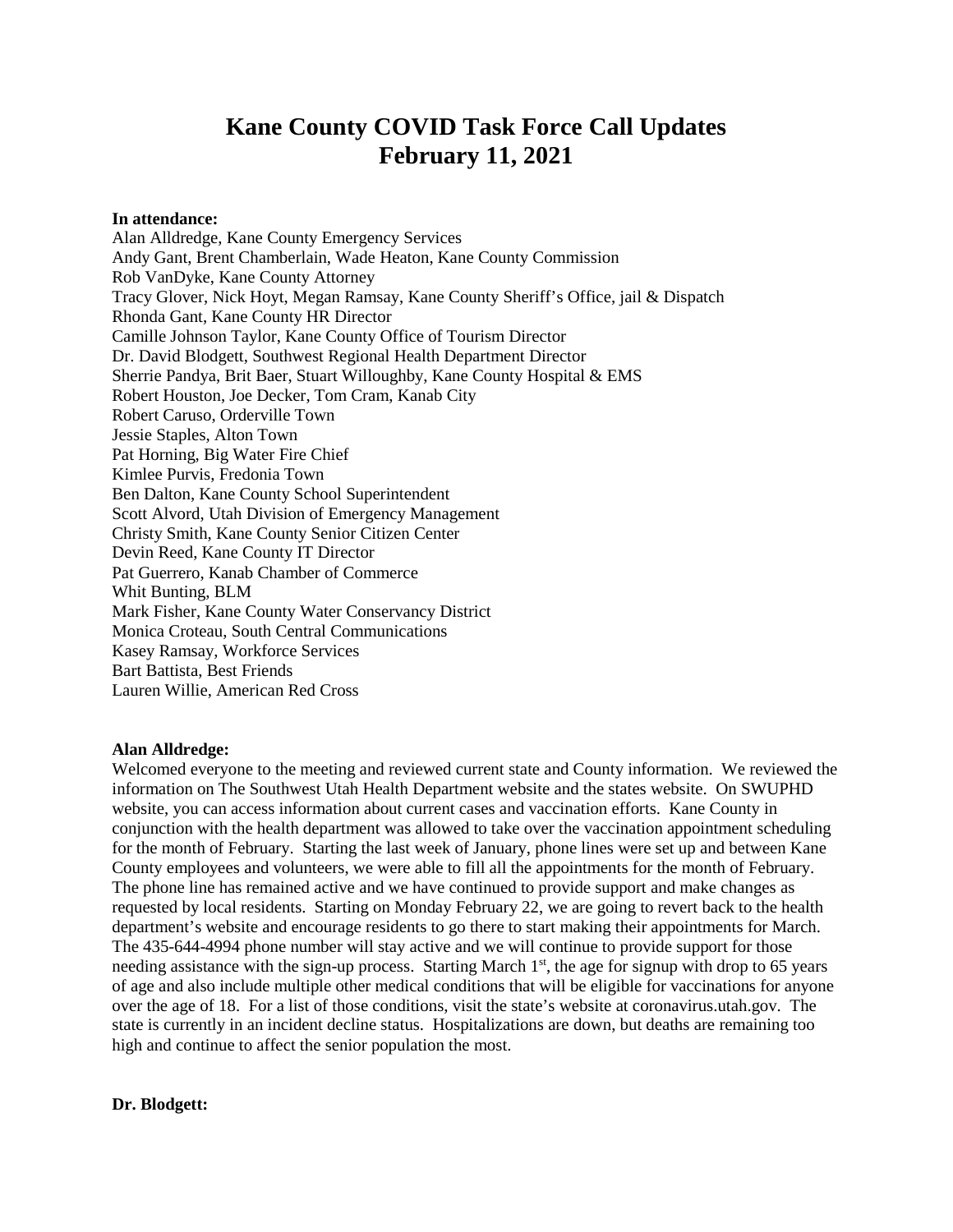# **Kane County COVID Task Force Call Updates February 11, 2021**

**In attendance:**

Alan Alldredge, Kane County Emergency Services Andy Gant, Brent Chamberlain, Wade Heaton, Kane County Commission Rob VanDyke, Kane County Attorney Tracy Glover, Nick Hoyt, Megan Ramsay, Kane County Sheriff's Office, jail & Dispatch Rhonda Gant, Kane County HR Director Camille Johnson Taylor, Kane County Office of Tourism Director Dr. David Blodgett, Southwest Regional Health Department Director Sherrie Pandya, Brit Baer, Stuart Willoughby, Kane County Hospital & EMS Robert Houston, Joe Decker, Tom Cram, Kanab City Robert Caruso, Orderville Town Jessie Staples, Alton Town Pat Horning, Big Water Fire Chief Kimlee Purvis, Fredonia Town Ben Dalton, Kane County School Superintendent Scott Alvord, Utah Division of Emergency Management Christy Smith, Kane County Senior Citizen Center Devin Reed, Kane County IT Director Pat Guerrero, Kanab Chamber of Commerce Whit Bunting, BLM Mark Fisher, Kane County Water Conservancy District Monica Croteau, South Central Communications Kasey Ramsay, Workforce Services Bart Battista, Best Friends Lauren Willie, American Red Cross

# **Alan Alldredge:**

Welcomed everyone to the meeting and reviewed current state and County information. We reviewed the information on The Southwest Utah Health Department website and the states website. On SWUPHD website, you can access information about current cases and vaccination efforts. Kane County in conjunction with the health department was allowed to take over the vaccination appointment scheduling for the month of February. Starting the last week of January, phone lines were set up and between Kane County employees and volunteers, we were able to fill all the appointments for the month of February. The phone line has remained active and we have continued to provide support and make changes as requested by local residents. Starting on Monday February 22, we are going to revert back to the health department's website and encourage residents to go there to start making their appointments for March. The 435-644-4994 phone number will stay active and we will continue to provide support for those needing assistance with the sign-up process. Starting March 1<sup>st</sup>, the age for signup with drop to 65 years of age and also include multiple other medical conditions that will be eligible for vaccinations for anyone over the age of 18. For a list of those conditions, visit the state's website at coronavirus.utah.gov. The state is currently in an incident decline status. Hospitalizations are down, but deaths are remaining too high and continue to affect the senior population the most.

# **Dr. Blodgett:**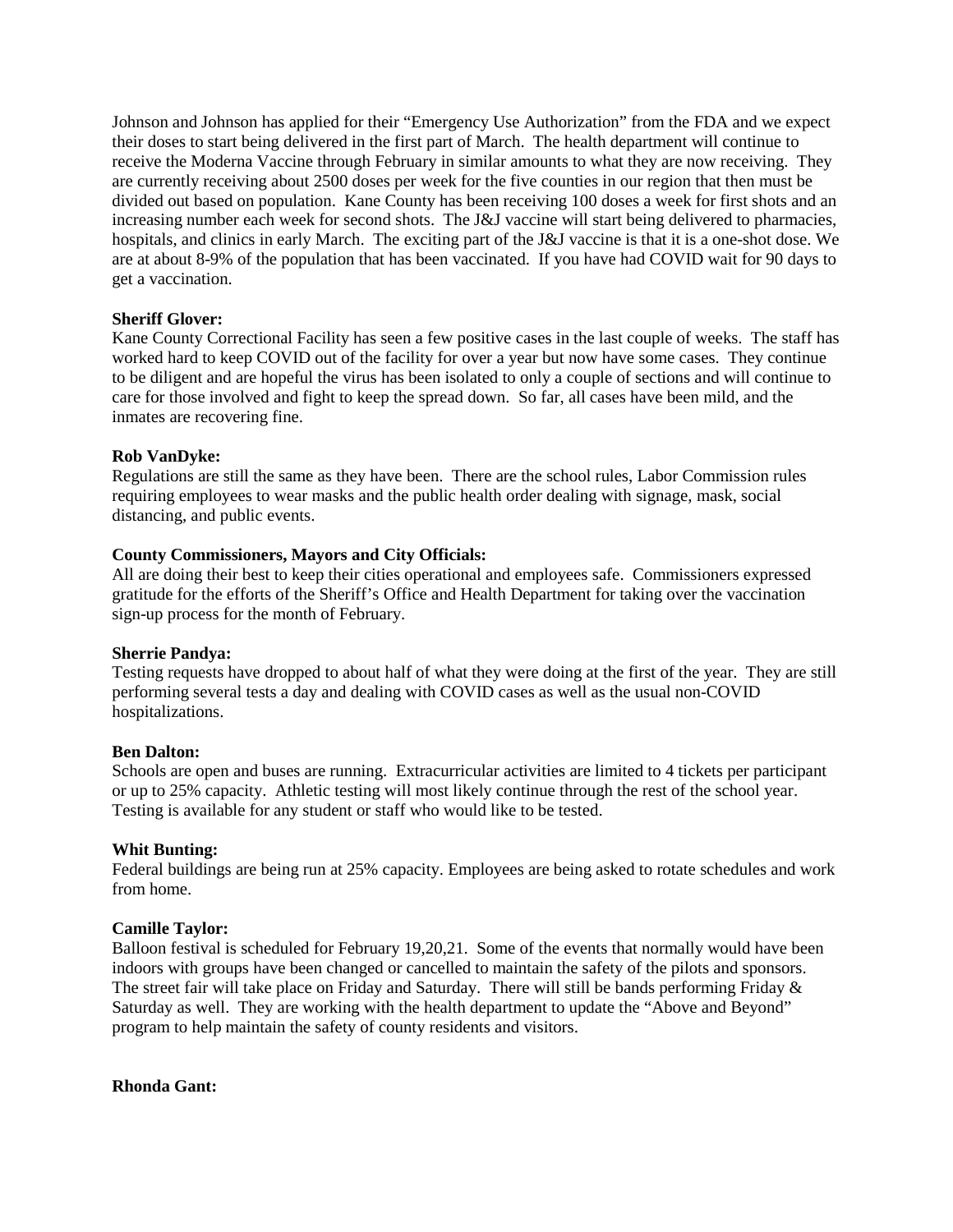Johnson and Johnson has applied for their "Emergency Use Authorization" from the FDA and we expect their doses to start being delivered in the first part of March. The health department will continue to receive the Moderna Vaccine through February in similar amounts to what they are now receiving. They are currently receiving about 2500 doses per week for the five counties in our region that then must be divided out based on population. Kane County has been receiving 100 doses a week for first shots and an increasing number each week for second shots. The J&J vaccine will start being delivered to pharmacies, hospitals, and clinics in early March. The exciting part of the J&J vaccine is that it is a one-shot dose. We are at about 8-9% of the population that has been vaccinated. If you have had COVID wait for 90 days to get a vaccination.

# **Sheriff Glover:**

Kane County Correctional Facility has seen a few positive cases in the last couple of weeks. The staff has worked hard to keep COVID out of the facility for over a year but now have some cases. They continue to be diligent and are hopeful the virus has been isolated to only a couple of sections and will continue to care for those involved and fight to keep the spread down. So far, all cases have been mild, and the inmates are recovering fine.

#### **Rob VanDyke:**

Regulations are still the same as they have been. There are the school rules, Labor Commission rules requiring employees to wear masks and the public health order dealing with signage, mask, social distancing, and public events.

### **County Commissioners, Mayors and City Officials:**

All are doing their best to keep their cities operational and employees safe. Commissioners expressed gratitude for the efforts of the Sheriff's Office and Health Department for taking over the vaccination sign-up process for the month of February.

#### **Sherrie Pandya:**

Testing requests have dropped to about half of what they were doing at the first of the year. They are still performing several tests a day and dealing with COVID cases as well as the usual non-COVID hospitalizations.

#### **Ben Dalton:**

Schools are open and buses are running. Extracurricular activities are limited to 4 tickets per participant or up to 25% capacity. Athletic testing will most likely continue through the rest of the school year. Testing is available for any student or staff who would like to be tested.

#### **Whit Bunting:**

Federal buildings are being run at 25% capacity. Employees are being asked to rotate schedules and work from home.

#### **Camille Taylor:**

Balloon festival is scheduled for February 19,20,21. Some of the events that normally would have been indoors with groups have been changed or cancelled to maintain the safety of the pilots and sponsors. The street fair will take place on Friday and Saturday. There will still be bands performing Friday & Saturday as well. They are working with the health department to update the "Above and Beyond" program to help maintain the safety of county residents and visitors.

**Rhonda Gant:**